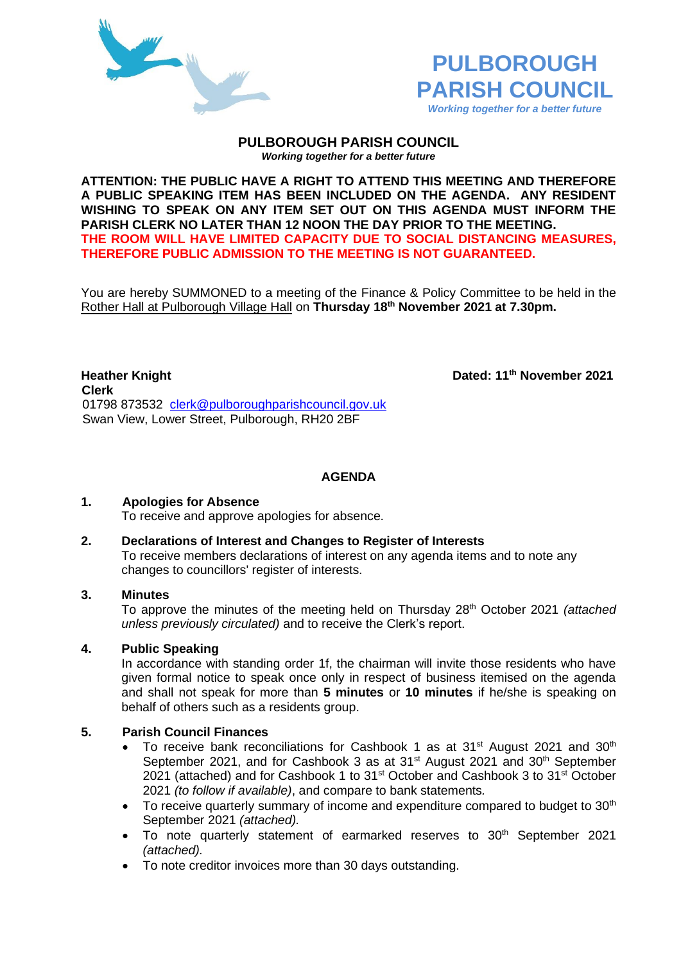



#### **PULBOROUGH PARISH COUNCIL** *Working together for a better future*

**ATTENTION: THE PUBLIC HAVE A RIGHT TO ATTEND THIS MEETING AND THEREFORE A PUBLIC SPEAKING ITEM HAS BEEN INCLUDED ON THE AGENDA. ANY RESIDENT WISHING TO SPEAK ON ANY ITEM SET OUT ON THIS AGENDA MUST INFORM THE PARISH CLERK NO LATER THAN 12 NOON THE DAY PRIOR TO THE MEETING. THE ROOM WILL HAVE LIMITED CAPACITY DUE TO SOCIAL DISTANCING MEASURES, THEREFORE PUBLIC ADMISSION TO THE MEETING IS NOT GUARANTEED.**

You are hereby SUMMONED to a meeting of the Finance & Policy Committee to be held in the Rother Hall at Pulborough Village Hall on **Thursday 18th November 2021 at 7.30pm.** 

**Heather Knight Dated: 11th November 2021 Clerk** 01798 873532 [clerk@pulboroughparishcouncil.gov.uk](mailto:clerk@pulboroughparishcouncil.gov.uk) Swan View, Lower Street, Pulborough, RH20 2BF

**AGENDA**

#### **1. Apologies for Absence**

To receive and approve apologies for absence.

#### **2. Declarations of Interest and Changes to Register of Interests**

To receive members declarations of interest on any agenda items and to note any changes to councillors' register of interests.

#### **3. Minutes**

To approve the minutes of the meeting held on Thursday 28th October 2021 *(attached unless previously circulated)* and to receive the Clerk's report.

## **4. Public Speaking**

In accordance with standing order 1f, the chairman will invite those residents who have given formal notice to speak once only in respect of business itemised on the agenda and shall not speak for more than **5 minutes** or **10 minutes** if he/she is speaking on behalf of others such as a residents group.

#### **5. Parish Council Finances**

- To receive bank reconciliations for Cashbook 1 as at 31<sup>st</sup> August 2021 and 30<sup>th</sup> September 2021, and for Cashbook 3 as at 31<sup>st</sup> August 2021 and 30<sup>th</sup> September 2021 (attached) and for Cashbook 1 to 31<sup>st</sup> October and Cashbook 3 to 31<sup>st</sup> October 2021 *(to follow if available)*, and compare to bank statements*.*
- To receive quarterly summary of income and expenditure compared to budget to  $30<sup>th</sup>$ September 2021 *(attached).*
- To note quarterly statement of earmarked reserves to  $30<sup>th</sup>$  September 2021 *(attached).*
- To note creditor invoices more than 30 days outstanding.